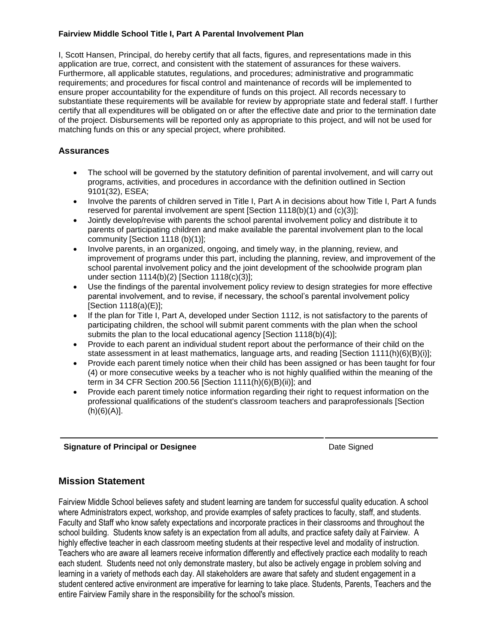#### **Fairview Middle School Title I, Part A Parental Involvement Plan**

I, Scott Hansen, Principal, do hereby certify that all facts, figures, and representations made in this application are true, correct, and consistent with the statement of assurances for these waivers. Furthermore, all applicable statutes, regulations, and procedures; administrative and programmatic requirements; and procedures for fiscal control and maintenance of records will be implemented to ensure proper accountability for the expenditure of funds on this project. All records necessary to substantiate these requirements will be available for review by appropriate state and federal staff. I further certify that all expenditures will be obligated on or after the effective date and prior to the termination date of the project. Disbursements will be reported only as appropriate to this project, and will not be used for matching funds on this or any special project, where prohibited.

# **Assurances**

- The school will be governed by the statutory definition of parental involvement, and will carry out programs, activities, and procedures in accordance with the definition outlined in Section 9101(32), ESEA;
- Involve the parents of children served in Title I, Part A in decisions about how Title I, Part A funds reserved for parental involvement are spent [Section 1118(b)(1) and (c)(3)];
- Jointly develop/revise with parents the school parental involvement policy and distribute it to parents of participating children and make available the parental involvement plan to the local community [Section 1118 (b)(1)];
- Involve parents, in an organized, ongoing, and timely way, in the planning, review, and improvement of programs under this part, including the planning, review, and improvement of the school parental involvement policy and the joint development of the schoolwide program plan under section 1114(b)(2) [Section 1118(c)(3)];
- Use the findings of the parental involvement policy review to design strategies for more effective parental involvement, and to revise, if necessary, the school's parental involvement policy [Section 1118(a)(E)];
- If the plan for Title I, Part A, developed under Section 1112, is not satisfactory to the parents of participating children, the school will submit parent comments with the plan when the school submits the plan to the local educational agency [Section 1118(b)(4)];
- Provide to each parent an individual student report about the performance of their child on the state assessment in at least mathematics, language arts, and reading [Section 1111(h)(6)(B)(i)];
- Provide each parent timely notice when their child has been assigned or has been taught for four (4) or more consecutive weeks by a teacher who is not highly qualified within the meaning of the term in 34 CFR Section 200.56 [Section 1111(h)(6)(B)(ii)]; and
- Provide each parent timely notice information regarding their right to request information on the professional qualifications of the student's classroom teachers and paraprofessionals [Section (h)(6)(A)].

### **Signature of Principal or Designee Date Signature of Principal or Designee Date Signed**

# **Mission Statement**

Fairview Middle School believes safety and student learning are tandem for successful quality education. A school where Administrators expect, workshop, and provide examples of safety practices to faculty, staff, and students. Faculty and Staff who know safety expectations and incorporate practices in their classrooms and throughout the school building. Students know safety is an expectation from all adults, and practice safety daily at Fairview. A highly effective teacher in each classroom meeting students at their respective level and modality of instruction. Teachers who are aware all learners receive information differently and effectively practice each modality to reach each student. Students need not only demonstrate mastery, but also be actively engage in problem solving and learning in a variety of methods each day. All stakeholders are aware that safety and student engagement in a student centered active environment are imperative for learning to take place. Students, Parents, Teachers and the entire Fairview Family share in the responsibility for the school's mission.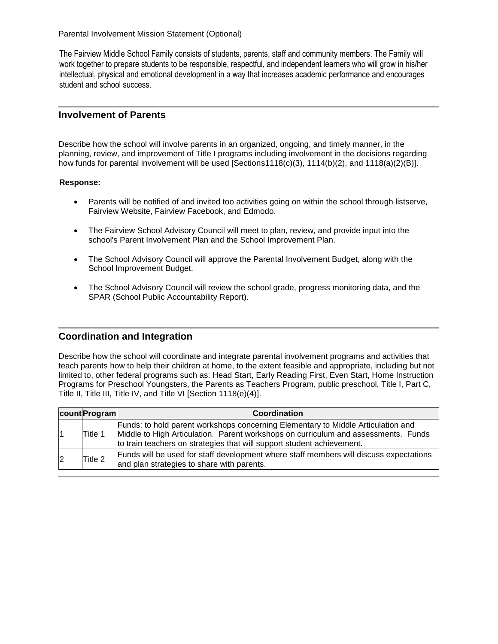Parental Involvement Mission Statement (Optional)

The Fairview Middle School Family consists of students, parents, staff and community members. The Family will work together to prepare students to be responsible, respectful, and independent learners who will grow in his/her intellectual, physical and emotional development in a way that increases academic performance and encourages student and school success.

#### **Involvement of Parents**

Describe how the school will involve parents in an organized, ongoing, and timely manner, in the planning, review, and improvement of Title I programs including involvement in the decisions regarding how funds for parental involvement will be used [Sections1118(c)(3), 1114(b)(2), and 1118(a)(2)(B)].

#### **Response:**

- Parents will be notified of and invited too activities going on within the school through listserve, Fairview Website, Fairview Facebook, and Edmodo.
- The Fairview School Advisory Council will meet to plan, review, and provide input into the school's Parent Involvement Plan and the School Improvement Plan.
- The School Advisory Council will approve the Parental Involvement Budget, along with the School Improvement Budget.
- The School Advisory Council will review the school grade, progress monitoring data, and the SPAR (School Public Accountability Report).

### **Coordination and Integration**

Describe how the school will coordinate and integrate parental involvement programs and activities that teach parents how to help their children at home, to the extent feasible and appropriate, including but not limited to, other federal programs such as: Head Start, Early Reading First, Even Start, Home Instruction Programs for Preschool Youngsters, the Parents as Teachers Program, public preschool, Title I, Part C, Title II, Title III, Title IV, and Title VI [Section 1118(e)(4)].

|                | count Program | Coordination                                                                                                                                                                                                                                     |
|----------------|---------------|--------------------------------------------------------------------------------------------------------------------------------------------------------------------------------------------------------------------------------------------------|
|                | Title 1       | Funds: to hold parent workshops concerning Elementary to Middle Articulation and<br>Middle to High Articulation. Parent workshops on curriculum and assessments. Funds<br>to train teachers on strategies that will support student achievement. |
| $\overline{2}$ | Title 2       | Funds will be used for staff development where staff members will discuss expectations<br>and plan strategies to share with parents.                                                                                                             |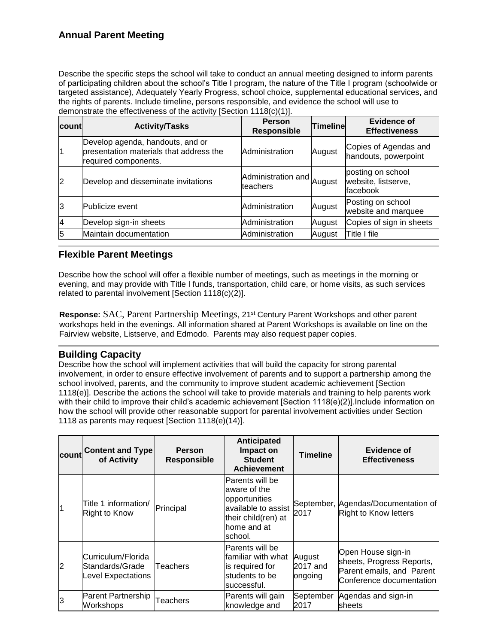Describe the specific steps the school will take to conduct an annual meeting designed to inform parents of participating children about the school's Title I program, the nature of the Title I program (schoolwide or targeted assistance), Adequately Yearly Progress, school choice, supplemental educational services, and the rights of parents. Include timeline, persons responsible, and evidence the school will use to demonstrate the effectiveness of the activity [Section 1118(c)(1)].

| countl         | <b>Activity/Tasks</b>                                                                               | <b>Person</b><br><b>Responsible</b>   | <b>Timeline</b> | Evidence of<br><b>Effectiveness</b>                  |
|----------------|-----------------------------------------------------------------------------------------------------|---------------------------------------|-----------------|------------------------------------------------------|
| l1             | Develop agenda, handouts, and or<br>presentation materials that address the<br>required components. | Administration                        | August          | Copies of Agendas and<br>handouts, powerpoint        |
| $\overline{2}$ | Develop and disseminate invitations                                                                 | Administration and August<br>teachers |                 | posting on school<br>website, listserve,<br>facebook |
| 3              | <b>Publicize</b> event                                                                              | Administration                        | August          | Posting on school<br>website and marquee             |
| 4              | Develop sign-in sheets                                                                              | Administration                        | August          | Copies of sign in sheets                             |
| 5              | Maintain documentation                                                                              | Administration                        | August          | Title I file                                         |

# **Flexible Parent Meetings**

Describe how the school will offer a flexible number of meetings, such as meetings in the morning or evening, and may provide with Title I funds, transportation, child care, or home visits, as such services related to parental involvement [Section 1118(c)(2)].

**Response:** SAC, Parent Partnership Meetings, 21st Century Parent Workshops and other parent workshops held in the evenings. All information shared at Parent Workshops is available on line on the Fairview website, Listserve, and Edmodo. Parents may also request paper copies.

# **Building Capacity**

Describe how the school will implement activities that will build the capacity for strong parental involvement, in order to ensure effective involvement of parents and to support a partnership among the school involved, parents, and the community to improve student academic achievement [Section 1118(e)]. Describe the actions the school will take to provide materials and training to help parents work with their child to improve their child's academic achievement [Section 1118(e)(2)]. Include information on how the school will provide other reasonable support for parental involvement activities under Section 1118 as parents may request [Section 1118(e)(14)].

| count          | <b>Content and Type</b><br>of Activity                      | <b>Person</b><br><b>Responsible</b> | Anticipated<br>Impact on<br><b>Student</b><br><b>Achievement</b>                                                          | <b>Timeline</b>               | Evidence of<br><b>Effectiveness</b>                                                                      |
|----------------|-------------------------------------------------------------|-------------------------------------|---------------------------------------------------------------------------------------------------------------------------|-------------------------------|----------------------------------------------------------------------------------------------------------|
| $\overline{1}$ | Title 1 information/<br>Right to Know                       | Principal                           | Parents will be<br>aware of the<br>opportunities<br>available to assist<br>their child(ren) at<br>home and at<br>lschool. | 2017                          | September, Agendas/Documentation of<br>Right to Know letters                                             |
| $\overline{2}$ | Curriculum/Florida<br>Standards/Grade<br>Level Expectations | Teachers                            | Parents will be<br>familiar with what<br>is required for<br>students to be<br>lsuccessful.                                | August<br>2017 and<br>ongoing | Open House sign-in<br>sheets, Progress Reports,<br>Parent emails, and Parent<br>Conference documentation |
| lЗ             | Parent Partnership<br>Workshops                             | Teachers                            | Parents will gain<br>knowledge and                                                                                        | September<br>2017             | Agendas and sign-in<br>sheets                                                                            |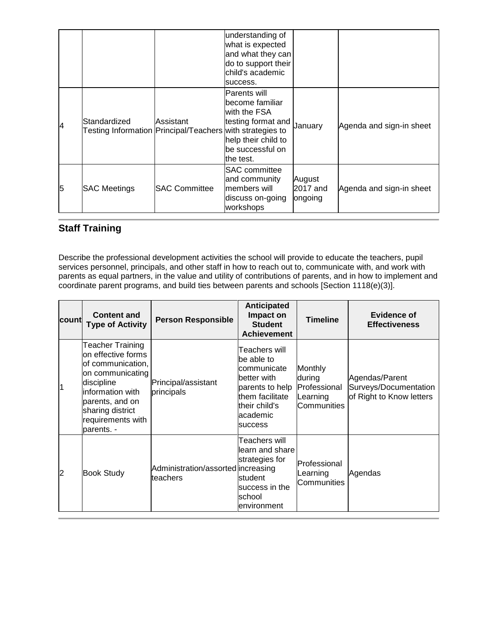|   |                                                                           |                      | understanding of<br>what is expected<br>and what they can<br>do to support their<br>lchild's academic<br>success.                     |                               |                          |
|---|---------------------------------------------------------------------------|----------------------|---------------------------------------------------------------------------------------------------------------------------------------|-------------------------------|--------------------------|
| 4 | Standardized<br>Testing Information Principal/Teachers with strategies to | Assistant            | <b>Parents will</b><br>lbecome familiar<br>with the FSA<br>testing format and<br>help their child to<br>be successful on<br>the test. | January                       | Agenda and sign-in sheet |
| 5 | <b>SAC Meetings</b>                                                       | <b>SAC Committee</b> | <b>SAC</b> committee<br>and community<br>members will<br>discuss on-going<br>workshops                                                | August<br>2017 and<br>ongoing | Agenda and sign-in sheet |

# **Staff Training**

Describe the professional development activities the school will provide to educate the teachers, pupil services personnel, principals, and other staff in how to reach out to, communicate with, and work with parents as equal partners, in the value and utility of contributions of parents, and in how to implement and coordinate parent programs, and build ties between parents and schools [Section 1118(e)(3)].

| count                   | <b>Content and</b><br><b>Type of Activity</b>                                                                                                                                               | <b>Person Responsible</b>                      | Anticipated<br>Impact on<br><b>Student</b><br><b>Achievement</b>                                                                         | <b>Timeline</b>                                              | Evidence of<br><b>Effectiveness</b>                                 |
|-------------------------|---------------------------------------------------------------------------------------------------------------------------------------------------------------------------------------------|------------------------------------------------|------------------------------------------------------------------------------------------------------------------------------------------|--------------------------------------------------------------|---------------------------------------------------------------------|
| $\overline{\mathbf{1}}$ | Teacher Training<br>on effective forms<br>of communication,<br>on communicating<br>discipline<br>information with<br>parents, and on<br>sharing district<br>requirements with<br>parents. - | Principal/assistant<br>principals              | Teachers will<br>be able to<br>communicate<br>better with<br>parents to help<br>them facilitate<br>their child's<br>lacademic<br>success | Monthly<br>during<br>Professional<br>Learning<br>Communities | Agendas/Parent<br>Surveys/Documentation<br>of Right to Know letters |
| 2                       | <b>Book Study</b>                                                                                                                                                                           | Administration/assorted increasing<br>teachers | Teachers will<br>learn and share<br>strategies for<br>student<br>success in the<br>Ischool<br>environment                                | Professional<br>Learning<br>lCommunities                     | Agendas                                                             |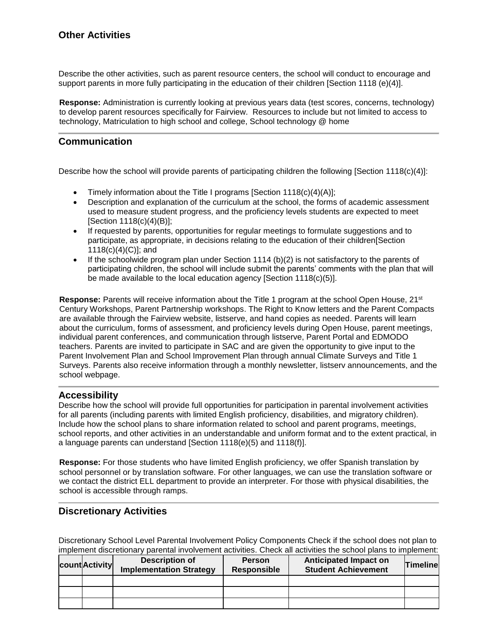Describe the other activities, such as parent resource centers, the school will conduct to encourage and support parents in more fully participating in the education of their children [Section 1118 (e)(4)].

**Response:** Administration is currently looking at previous years data (test scores, concerns, technology) to develop parent resources specifically for Fairview. Resources to include but not limited to access to technology, Matriculation to high school and college, School technology @ home

# **Communication**

Describe how the school will provide parents of participating children the following [Section 1118(c)(4)]:

- Timely information about the Title I programs [Section  $1118(c)(4)(A)$ ];
- Description and explanation of the curriculum at the school, the forms of academic assessment used to measure student progress, and the proficiency levels students are expected to meet [Section 1118(c)(4)(B)];
- If requested by parents, opportunities for regular meetings to formulate suggestions and to participate, as appropriate, in decisions relating to the education of their children[Section 1118(c)(4)(C)]; and
- If the schoolwide program plan under Section 1114 (b)(2) is not satisfactory to the parents of participating children, the school will include submit the parents' comments with the plan that will be made available to the local education agency [Section 1118(c)(5)].

**Response:** Parents will receive information about the Title 1 program at the school Open House, 21st Century Workshops, Parent Partnership workshops. The Right to Know letters and the Parent Compacts are available through the Fairview website, listserve, and hand copies as needed. Parents will learn about the curriculum, forms of assessment, and proficiency levels during Open House, parent meetings, individual parent conferences, and communication through listserve, Parent Portal and EDMODO teachers. Parents are invited to participate in SAC and are given the opportunity to give input to the Parent Involvement Plan and School Improvement Plan through annual Climate Surveys and Title 1 Surveys. Parents also receive information through a monthly newsletter, listserv announcements, and the school webpage.

# **Accessibility**

Describe how the school will provide full opportunities for participation in parental involvement activities for all parents (including parents with limited English proficiency, disabilities, and migratory children). Include how the school plans to share information related to school and parent programs, meetings, school reports, and other activities in an understandable and uniform format and to the extent practical, in a language parents can understand [Section 1118(e)(5) and 1118(f)].

**Response:** For those students who have limited English proficiency, we offer Spanish translation by school personnel or by translation software. For other languages, we can use the translation software or we contact the district ELL department to provide an interpreter. For those with physical disabilities, the school is accessible through ramps.

### **Discretionary Activities**

Discretionary School Level Parental Involvement Policy Components Check if the school does not plan to implement discretionary parental involvement activities. Check all activities the school plans to implement:

| count Activity | <b>Description of</b><br><b>Implementation Strategy</b> | <b>Person</b><br>Responsible | <b>Anticipated Impact on</b><br><b>Student Achievement</b> | <b>Timeline</b> |
|----------------|---------------------------------------------------------|------------------------------|------------------------------------------------------------|-----------------|
|                |                                                         |                              |                                                            |                 |
|                |                                                         |                              |                                                            |                 |
|                |                                                         |                              |                                                            |                 |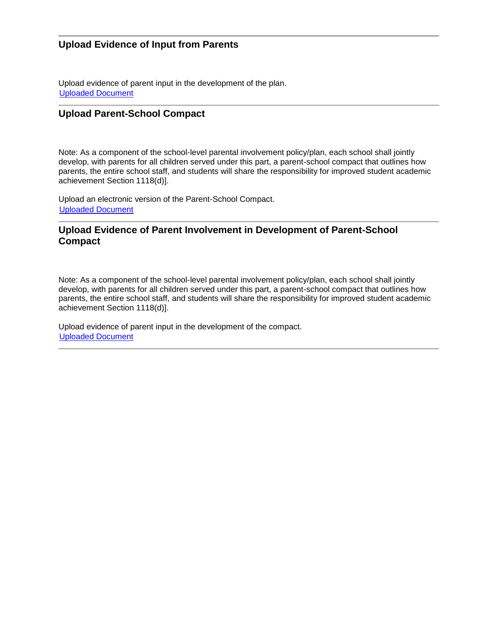# **Upload Evidence of Input from Parents**

Upload evidence of parent input in the development of the plan. [Uploaded Document](file:///C:/Users/martint/AppData/Local/Microsoft/Windows/Temporary%20Internet%20Files/Content.IE5/XMVOIDRB/fileUploads/370431_2016-2017_uploadEvidenceParentInput.pdf)

# **Upload Parent-School Compact**

Note: As a component of the school-level parental involvement policy/plan, each school shall jointly develop, with parents for all children served under this part, a parent-school compact that outlines how parents, the entire school staff, and students will share the responsibility for improved student academic achievement Section 1118(d)].

Upload an electronic version of the Parent-School Compact. [Uploaded Document](file:///C:/Users/martint/AppData/Local/Microsoft/Windows/Temporary%20Internet%20Files/Content.IE5/XMVOIDRB/fileUploads/370431_2016-2017_uploadCompact.pdf)

# **Upload Evidence of Parent Involvement in Development of Parent-School Compact**

Note: As a component of the school-level parental involvement policy/plan, each school shall jointly develop, with parents for all children served under this part, a parent-school compact that outlines how parents, the entire school staff, and students will share the responsibility for improved student academic achievement Section 1118(d)].

Upload evidence of parent input in the development of the compact. [Uploaded Document](file:///C:/Users/martint/AppData/Local/Microsoft/Windows/Temporary%20Internet%20Files/Content.IE5/XMVOIDRB/fileUploads/370431_2016-2017_uploadCompactEvidence.pdf)